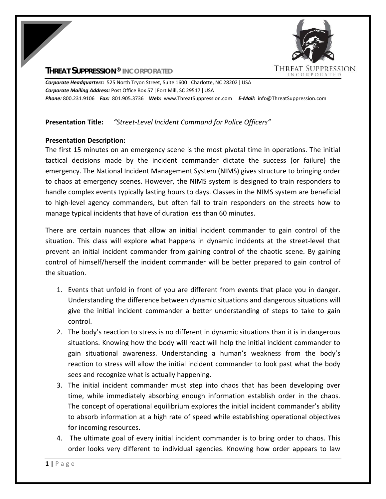## **THREAT SUPPRESSION® INCORPORATED**



*Corporate Headquarters:* 525 North Tryon Street, Suite 1600 ǀ Charlotte, NC 28202 ǀ USA *Corporate Mailing Address:* Post Office Box 57 ǀ Fort Mill, SC 29517 ǀ USA *Phone:* 800.231.9106  *Fax:* 801.905.3736 *Web:* www.ThreatSuppression.com *E‐Mail:*  info@ThreatSuppression.com

## **Presentation Title:** *"Street‐Level Incident Command for Police Officers"*

## **Presentation Description:**

The first 15 minutes on an emergency scene is the most pivotal time in operations. The initial tactical decisions made by the incident commander dictate the success (or failure) the emergency. The National Incident Management System (NIMS) gives structure to bringing order to chaos at emergency scenes. However, the NIMS system is designed to train responders to handle complex events typically lasting hours to days. Classes in the NIMS system are beneficial to high-level agency commanders, but often fail to train responders on the streets how to manage typical incidents that have of duration less than 60 minutes.

There are certain nuances that allow an initial incident commander to gain control of the situation. This class will explore what happens in dynamic incidents at the street-level that prevent an initial incident commander from gaining control of the chaotic scene. By gaining control of himself/herself the incident commander will be better prepared to gain control of the situation.

- 1. Events that unfold in front of you are different from events that place you in danger. Understanding the difference between dynamic situations and dangerous situations will give the initial incident commander a better understanding of steps to take to gain control.
- 2. The body's reaction to stress is no different in dynamic situations than it is in dangerous situations. Knowing how the body will react will help the initial incident commander to gain situational awareness. Understanding a human's weakness from the body's reaction to stress will allow the initial incident commander to look past what the body sees and recognize what is actually happening.
- 3. The initial incident commander must step into chaos that has been developing over time, while immediately absorbing enough information establish order in the chaos. The concept of operational equilibrium explores the initial incident commander's ability to absorb information at a high rate of speed while establishing operational objectives for incoming resources.
- 4. The ultimate goal of every initial incident commander is to bring order to chaos. This order looks very different to individual agencies. Knowing how order appears to law